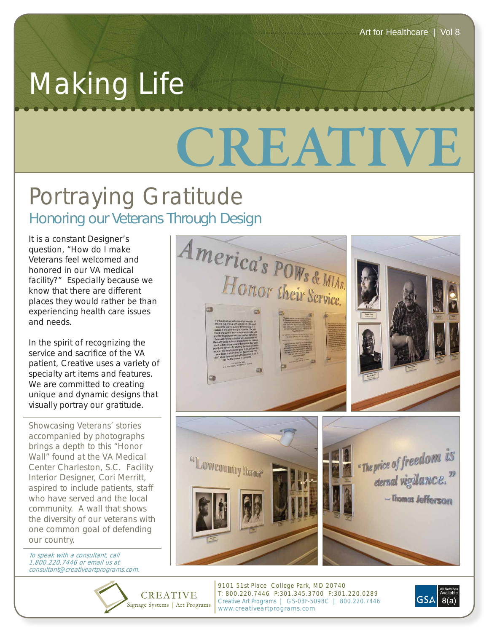## Making Life

## **CREATIVE**

## Portraying Gratitude *Honoring our Veterans Through Design*

It is a constant Designer's question, "How do I make Veterans feel welcomed and honored in our VA medical facility?" Especially because we know that there are different places they would rather be than experiencing health care issues and needs.

In the spirit of recognizing the service and sacrifice of the VA patient, Creative uses a variety of specialty art items and features. We are committed to creating unique and dynamic designs that visually portray our gratitude.

Showcasing Veterans' stories accompanied by photographs brings a depth to this "Honor Wall" found at the VA Medical Center Charleston, S.C. Facility Interior Designer, Cori Merritt, aspired to include patients, staff who have served and the local community. A wall that shows the diversity of our veterans with one common goal of defending our country.

To speak with a consultant, call 1.800.220.7446 or email us at consultant@creativeartprograms.com.

**CREATIVE** 



9101 51st Place College Park, MD 20740 T: 800.220.7446 P:301.345.3700 F:301.220.0289 Creative Art Programs | GS-03F-5098C | 800.220.7446 Signage Systems | Art Programs www.creativeartprograms.com